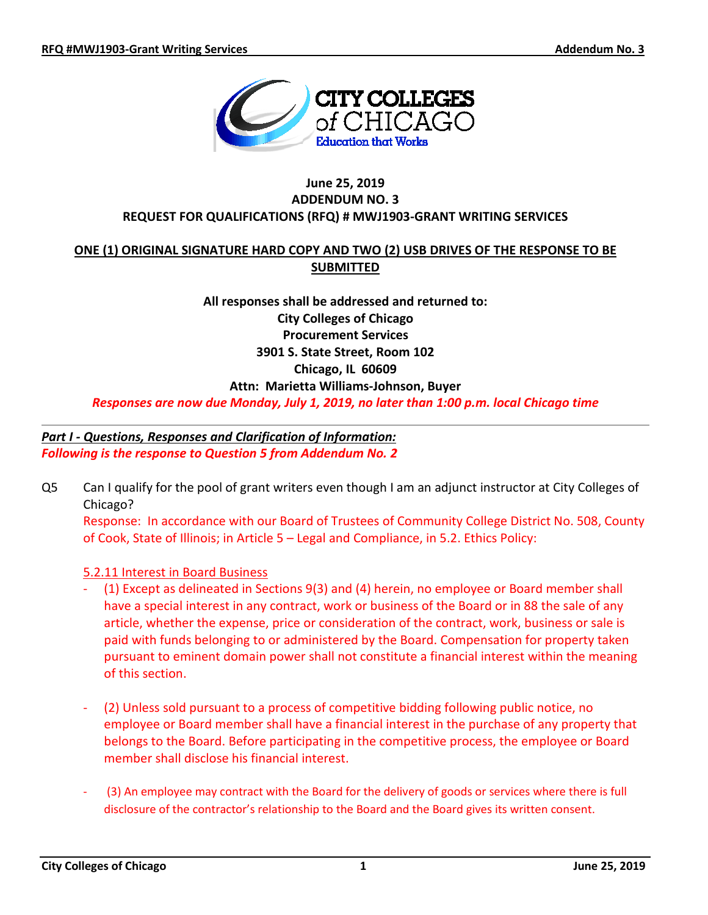

### **June 25, 2019 ADDENDUM NO. 3 REQUEST FOR QUALIFICATIONS (RFQ) # MWJ1903-GRANT WRITING SERVICES**

## **ONE (1) ORIGINAL SIGNATURE HARD COPY AND TWO (2) USB DRIVES OF THE RESPONSE TO BE SUBMITTED**

**All responses shall be addressed and returned to: City Colleges of Chicago Procurement Services 3901 S. State Street, Room 102 Chicago, IL 60609 Attn: Marietta Williams-Johnson, Buyer**

*Responses are now due Monday, July 1, 2019, no later than 1:00 p.m. local Chicago time*

# *Part I - Questions, Responses and Clarification of Information: Following is the response to Question 5 from Addendum No. 2*

Q5 Can I qualify for the pool of grant writers even though I am an adjunct instructor at City Colleges of Chicago?

Response: In accordance with our Board of Trustees of Community College District No. 508, County of Cook, State of Illinois; in Article 5 – Legal and Compliance, in 5.2. Ethics Policy:

## 5.2.11 Interest in Board Business

- (1) Except as delineated in Sections 9(3) and (4) herein, no employee or Board member shall have a special interest in any contract, work or business of the Board or in 88 the sale of any article, whether the expense, price or consideration of the contract, work, business or sale is paid with funds belonging to or administered by the Board. Compensation for property taken pursuant to eminent domain power shall not constitute a financial interest within the meaning of this section.
- (2) Unless sold pursuant to a process of competitive bidding following public notice, no employee or Board member shall have a financial interest in the purchase of any property that belongs to the Board. Before participating in the competitive process, the employee or Board member shall disclose his financial interest.
- (3) An employee may contract with the Board for the delivery of goods or services where there is full disclosure of the contractor's relationship to the Board and the Board gives its written consent.